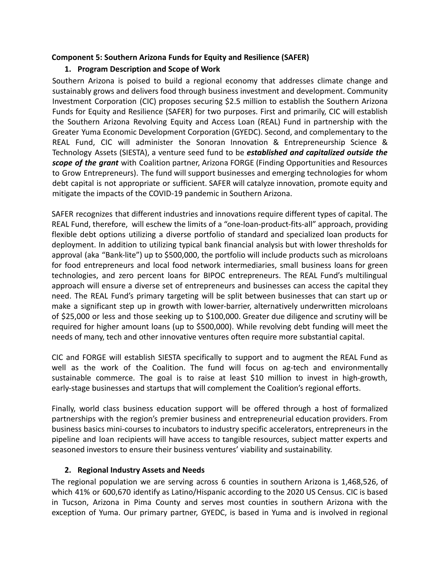### **Component 5: Southern Arizona Funds for Equity and Resilience (SAFER)**

# **1. Program Description and Scope of Work**

Southern Arizona is poised to build a regional economy that addresses climate change and sustainably grows and delivers food through business investment and development. Community Investment Corporation (CIC) proposes securing \$2.5 million to establish the Southern Arizona Funds for Equity and Resilience (SAFER) for two purposes. First and primarily, CIC will establish the Southern Arizona Revolving Equity and Access Loan (REAL) Fund in partnership with the Greater Yuma Economic Development Corporation (GYEDC). Second, and complementary to the REAL Fund, CIC will administer the Sonoran Innovation & Entrepreneurship Science & Technology Assets (SIESTA), a venture seed fund to be *established and capitalized outside the scope of the grant* with Coalition partner, Arizona FORGE (Finding Opportunities and Resources to Grow Entrepreneurs). The fund will support businesses and emerging technologies for whom debt capital is not appropriate or sufficient. SAFER will catalyze innovation, promote equity and mitigate the impacts of the COVID-19 pandemic in Southern Arizona.

SAFER recognizes that different industries and innovations require different types of capital. The REAL Fund, therefore, will eschew the limits of a "one-loan-product-fits-all" approach, providing flexible debt options utilizing a diverse portfolio of standard and specialized loan products for deployment. In addition to utilizing typical bank financial analysis but with lower thresholds for approval (aka "Bank-lite") up to \$500,000, the portfolio will include products such as microloans for food entrepreneurs and local food network intermediaries, small business loans for green technologies, and zero percent loans for BIPOC entrepreneurs. The REAL Fund's multilingual approach will ensure a diverse set of entrepreneurs and businesses can access the capital they need. The REAL Fund's primary targeting will be split between businesses that can start up or make a significant step up in growth with lower-barrier, alternatively underwritten microloans of \$25,000 or less and those seeking up to \$100,000. Greater due diligence and scrutiny will be required for higher amount loans (up to \$500,000). While revolving debt funding will meet the needs of many, tech and other innovative ventures often require more substantial capital.

CIC and FORGE will establish SIESTA specifically to support and to augment the REAL Fund as well as the work of the Coalition. The fund will focus on ag-tech and environmentally sustainable commerce. The goal is to raise at least \$10 million to invest in high-growth, early-stage businesses and startups that will complement the Coalition's regional efforts.

Finally, world class business education support will be offered through a host of formalized partnerships with the region's premier business and entrepreneurial education providers. From business basics mini-courses to incubators to industry specific accelerators, entrepreneurs in the pipeline and loan recipients will have access to tangible resources, subject matter experts and seasoned investors to ensure their business ventures' viability and sustainability.

## **2. Regional Industry Assets and Needs**

The regional population we are serving across 6 counties in southern Arizona is 1,468,526, of which 41% or 600,670 identify as Latino/Hispanic according to the 2020 US Census. CIC is based in Tucson, Arizona in Pima County and serves most counties in southern Arizona with the exception of Yuma. Our primary partner, GYEDC, is based in Yuma and is involved in regional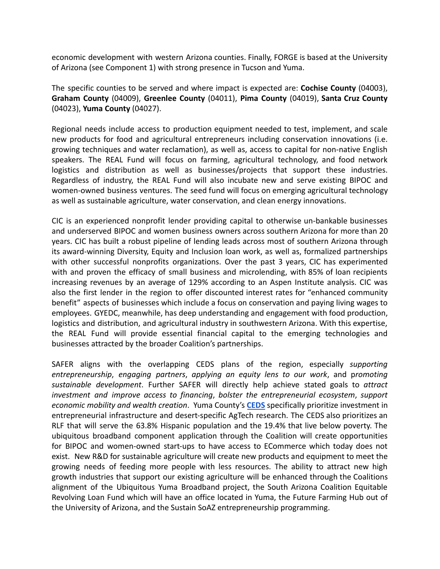economic development with western Arizona counties. Finally, FORGE is based at the University of Arizona (see Component 1) with strong presence in Tucson and Yuma.

The specific counties to be served and where impact is expected are: **Cochise County** (04003), **Graham County** (04009), **Greenlee County** (04011), **Pima County** (04019), **Santa Cruz County** (04023), **Yuma County** (04027).

Regional needs include access to production equipment needed to test, implement, and scale new products for food and agricultural entrepreneurs including conservation innovations (i.e. growing techniques and water reclamation), as well as, access to capital for non-native English speakers. The REAL Fund will focus on farming, agricultural technology, and food network logistics and distribution as well as businesses/projects that support these industries. Regardless of industry, the REAL Fund will also incubate new and serve existing BIPOC and women-owned business ventures. The seed fund will focus on emerging agricultural technology as well as sustainable agriculture, water conservation, and clean energy innovations.

CIC is an experienced nonprofit lender providing capital to otherwise un-bankable businesses and underserved BIPOC and women business owners across southern Arizona for more than 20 years. CIC has built a robust pipeline of lending leads across most of southern Arizona through its award-winning Diversity, Equity and Inclusion loan work, as well as, formalized partnerships with other successful nonprofits organizations. Over the past 3 years, CIC has experimented with and proven the efficacy of small business and microlending, with 85% of loan recipients increasing revenues by an average of 129% according to an Aspen Institute analysis. CIC was also the first lender in the region to offer discounted interest rates for "enhanced community benefit" aspects of businesses which include a focus on conservation and paying living wages to employees. GYEDC, meanwhile, has deep understanding and engagement with food production, logistics and distribution, and agricultural industry in southwestern Arizona. With this expertise, the REAL Fund will provide essential financial capital to the emerging technologies and businesses attracted by the broader Coalition's partnerships.

SAFER aligns with the overlapping CEDS plans of the region, especially *supporting entrepreneurship*, *engaging partners*, *applying an equity lens to our work*, and p*romoting sustainable development*. Further SAFER will directly help achieve stated goals to *attract investment and improve access to financing*, *bolster the entrepreneurial ecosystem*, *support economic mobility and wealth creation*. Yuma County's **CEDS** specifically prioritize investment in entrepreneurial infrastructure and desert-specific AgTech research. The CEDS also prioritizes an RLF that will serve the 63.8% Hispanic population and the 19.4% that live below poverty. The ubiquitous broadband component application through the Coalition will create opportunities for BIPOC and women-owned start-ups to have access to ECommerce which today does not exist. New R&D for sustainable agriculture will create new products and equipment to meet the growing needs of feeding more people with less resources. The ability to attract new high growth industries that support our existing agriculture will be enhanced through the Coalitions alignment of the Ubiquitous Yuma Broadband project, the South Arizona Coalition Equitable Revolving Loan Fund which will have an office located in Yuma, the Future Farming Hub out of the University of Arizona, and the Sustain SoAZ entrepreneurship programming.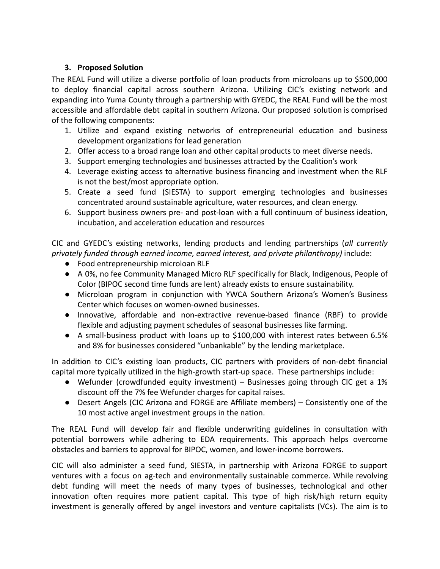## **3. Proposed Solution**

The REAL Fund will utilize a diverse portfolio of loan products from microloans up to \$500,000 to deploy financial capital across southern Arizona. Utilizing CIC's existing network and expanding into Yuma County through a partnership with GYEDC, the REAL Fund will be the most accessible and affordable debt capital in southern Arizona. Our proposed solution is comprised of the following components:

- 1. Utilize and expand existing networks of entrepreneurial education and business development organizations for lead generation
- 2. Offer access to a broad range loan and other capital products to meet diverse needs.
- 3. Support emerging technologies and businesses attracted by the Coalition's work
- 4. Leverage existing access to alternative business financing and investment when the RLF is not the best/most appropriate option.
- 5. Create a seed fund (SIESTA) to support emerging technologies and businesses concentrated around sustainable agriculture, water resources, and clean energy.
- 6. Support business owners pre- and post-loan with a full continuum of business ideation, incubation, and acceleration education and resources

CIC and GYEDC's existing networks, lending products and lending partnerships (*all currently privately funded through earned income, earned interest, and private philanthropy)* include:

- Food entrepreneurship microloan RLF
- A 0%, no fee Community Managed Micro RLF specifically for Black, Indigenous, People of Color (BIPOC second time funds are lent) already exists to ensure sustainability.
- Microloan program in conjunction with YWCA Southern Arizona's Women's Business Center which focuses on women-owned businesses.
- Innovative, affordable and non-extractive revenue-based finance (RBF) to provide flexible and adjusting payment schedules of seasonal businesses like farming.
- A small-business product with loans up to \$100,000 with interest rates between 6.5% and 8% for businesses considered "unbankable" by the lending marketplace.

In addition to CIC's existing loan products, CIC partners with providers of non-debt financial capital more typically utilized in the high-growth start-up space. These partnerships include:

- Wefunder (crowdfunded equity investment) Businesses going through CIC get a 1% discount off the 7% fee Wefunder charges for capital raises.
- Desert Angels (CIC Arizona and FORGE are Affiliate members) Consistently one of the 10 most active angel investment groups in the nation.

The REAL Fund will develop fair and flexible underwriting guidelines in consultation with potential borrowers while adhering to EDA requirements. This approach helps overcome obstacles and barriers to approval for BIPOC, women, and lower-income borrowers.

CIC will also administer a seed fund, SIESTA, in partnership with Arizona FORGE to support ventures with a focus on ag-tech and environmentally sustainable commerce. While revolving debt funding will meet the needs of many types of businesses, technological and other innovation often requires more patient capital. This type of high risk/high return equity investment is generally offered by angel investors and venture capitalists (VCs). The aim is to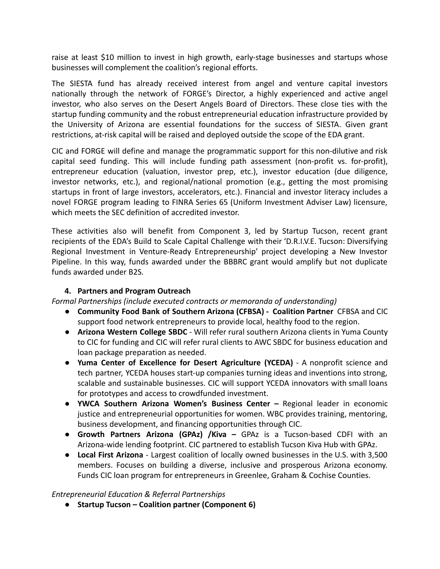raise at least \$10 million to invest in high growth, early-stage businesses and startups whose businesses will complement the coalition's regional efforts.

The SIESTA fund has already received interest from angel and venture capital investors nationally through the network of FORGE's Director, a highly experienced and active angel investor, who also serves on the Desert Angels Board of Directors. These close ties with the startup funding community and the robust entrepreneurial education infrastructure provided by the University of Arizona are essential foundations for the success of SIESTA. Given grant restrictions, at-risk capital will be raised and deployed outside the scope of the EDA grant.

CIC and FORGE will define and manage the programmatic support for this non-dilutive and risk capital seed funding. This will include funding path assessment (non-profit vs. for-profit), entrepreneur education (valuation, investor prep, etc.), investor education (due diligence, investor networks, etc.), and regional/national promotion (e.g., getting the most promising startups in front of large investors, accelerators, etc.). Financial and investor literacy includes a novel FORGE program leading to FINRA Series 65 (Uniform Investment Adviser Law) licensure, which meets the SEC definition of accredited investor.

These activities also will benefit from Component 3, led by Startup Tucson, recent grant recipients of the EDA's Build to Scale Capital Challenge with their 'D.R.I.V.E. Tucson: Diversifying Regional Investment in Venture-Ready Entrepreneurship' project developing a New Investor Pipeline. In this way, funds awarded under the BBBRC grant would amplify but not duplicate funds awarded under B2S.

#### **4. Partners and Program Outreach**

*Formal Partnerships (include executed contracts or memoranda of understanding)*

- **● Community Food Bank of Southern Arizona (CFBSA) - Coalition Partner** CFBSA and CIC support food network entrepreneurs to provide local, healthy food to the region.
- **Arizona Western College SBDC** Will refer rural southern Arizona clients in Yuma County to CIC for funding and CIC will refer rural clients to AWC SBDC for business education and loan package preparation as needed.
- **Yuma Center of Excellence for Desert Agriculture (YCEDA)** A nonprofit science and tech partner, YCEDA houses start-up companies turning ideas and inventions into strong, scalable and sustainable businesses. CIC will support YCEDA innovators with small loans for prototypes and access to crowdfunded investment.
- **● YWCA Southern Arizona Women's Business Center –** Regional leader in economic justice and entrepreneurial opportunities for women. WBC provides training, mentoring, business development, and financing opportunities through CIC.
- **● Growth Partners Arizona (GPAz) /Kiva –** GPAz is a Tucson-based CDFI with an Arizona-wide lending footprint. CIC partnered to establish Tucson Kiva Hub with GPAz.
- **● Local First Arizona** Largest coalition of locally owned businesses in the U.S. with 3,500 members. Focuses on building a diverse, inclusive and prosperous Arizona economy. Funds CIC loan program for entrepreneurs in Greenlee, Graham & Cochise Counties.

#### *Entrepreneurial Education & Referral Partnerships*

**● Startup Tucson – Coalition partner (Component 6)**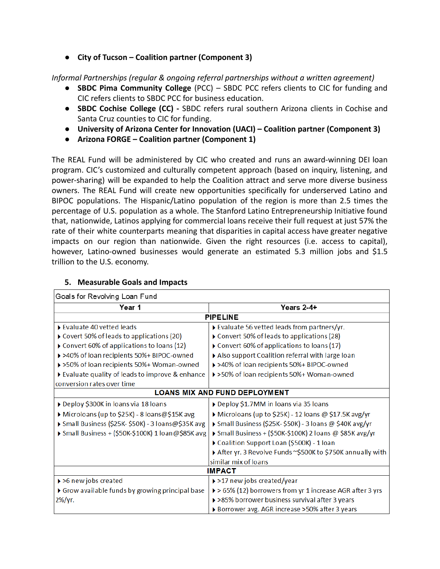**● City of Tucson – Coalition partner (Component 3)**

*Informal Partnerships (regular & ongoing referral partnerships without a written agreement)*

- **● SBDC Pima Community College** (PCC) SBDC PCC refers clients to CIC for funding and CIC refers clients to SBDC PCC for business education.
- **● SBDC Cochise College (CC) -** SBDC refers rural southern Arizona clients in Cochise and Santa Cruz counties to CIC for funding.
- **● University of Arizona Center for Innovation (UACI) Coalition partner (Component 3)**
- **● Arizona FORGE Coalition partner (Component 1)**

The REAL Fund will be administered by CIC who created and runs an award-winning DEI loan program. CIC's customized and culturally competent approach (based on inquiry, listening, and power-sharing) will be expanded to help the Coalition attract and serve more diverse business owners. The REAL Fund will create new opportunities specifically for underserved Latino and BIPOC populations. The Hispanic/Latino population of the region is more than 2.5 times the percentage of U.S. population as a whole. The Stanford Latino Entrepreneurship Initiative found that, nationwide, Latinos applying for commercial loans receive their full request at just 57% the rate of their white counterparts meaning that disparities in capital access have greater negative impacts on our region than nationwide. Given the right resources (i.e. access to capital), however, Latino-owned businesses would generate an estimated 5.3 million jobs and \$1.5 trillion to the U.S. economy.

| Goals for Revolving Loan Fund                    |                                                                          |
|--------------------------------------------------|--------------------------------------------------------------------------|
| Year 1                                           | Years 2-4+                                                               |
| <b>PIPELINE</b>                                  |                                                                          |
| Evaluate 40 vetted leads                         | Evaluate 56 vetted leads from partners/yr.                               |
| Covert 50% of leads to applications (20)         | Convert 50% of leads to applications (28)                                |
| Convert 60% of applications to loans (12)        | Convert 60% of applications to loans (17)                                |
| >>40% of loan recipients 50%+ BIPOC-owned        | Also support Coalition referral with large loan                          |
| >>50% of loan recipients 50%+ Woman-owned        | >>40% of loan recipients 50%+ BIPOC-owned                                |
| Evaluate quality of leads to improve & enhance   | >>50% of loan recipients 50%+ Woman-owned                                |
| conversion rates over time                       |                                                                          |
| <b>LOANS MIX AND FUND DEPLOYMENT</b>             |                                                                          |
| Deploy \$300K in loans via 18 loans              | Deploy \$1.7MM in loans via 35 loans                                     |
| ▶ Microloans (up to \$25K) - 8 loans@\$15K avg   | Microloans (up to \$25K) - 12 loans @ \$17.5K avg/yr                     |
| Small Business (\$25K-\$50K) - 3 loans@\$35K avg | Small Business (\$25K-\$50K) - 3 loans @ \$40K avg/yr                    |
| Small Business + (\$50K-\$100K) 1 loan@\$85K avg | Small Business + (\$50K-\$100K) 2 loans @ \$85K avg/yr                   |
|                                                  | Coalition Support Loan (\$500K) - 1 loan                                 |
|                                                  | After yr. 3 Revolve Funds ~\$500K to \$750K annually with                |
|                                                  | similar mix of loans                                                     |
| <b>IMPACT</b>                                    |                                                                          |
| > > 6 new jobs created                           | $\rightarrow$ >17 new jobs created/year                                  |
| Grow available funds by growing principal base   | $\triangleright$ > 65% (12) borrowers from yr 1 increase AGR after 3 yrs |
| $2\frac{9}{Y}$                                   | >>85% borrower business survival after 3 years                           |
|                                                  | Borrower avg. AGR increase >50% after 3 years                            |

### **5. Measurable Goals and Impacts**